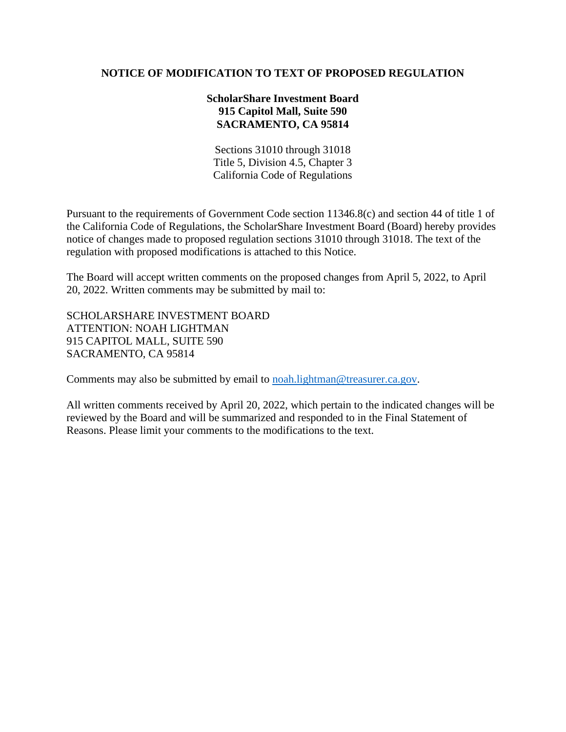# **NOTICE OF MODIFICATION TO TEXT OF PROPOSED REGULATION**

# **ScholarShare Investment Board 915 Capitol Mall, Suite 590 SACRAMENTO, CA 95814**

Sections 31010 through 31018 Title 5, Division 4.5, Chapter 3 California Code of Regulations

Pursuant to the requirements of Government Code section 11346.8(c) and section 44 of title 1 of the California Code of Regulations, the ScholarShare Investment Board (Board) hereby provides notice of changes made to proposed regulation sections 31010 through 31018. The text of the regulation with proposed modifications is attached to this Notice.

The Board will accept written comments on the proposed changes from April 5, 2022, to April 20, 2022. Written comments may be submitted by mail to:

SCHOLARSHARE INVESTMENT BOARD ATTENTION: NOAH LIGHTMAN 915 CAPITOL MALL, SUITE 590 SACRAMENTO, CA 95814

Comments may also be submitted by email to [noah.lightman@treasurer.ca.gov.](mailto:noah.lightman@treasurer.ca.gov)

All written comments received by April 20, 2022, which pertain to the indicated changes will be reviewed by the Board and will be summarized and responded to in the Final Statement of Reasons. Please limit your comments to the modifications to the text.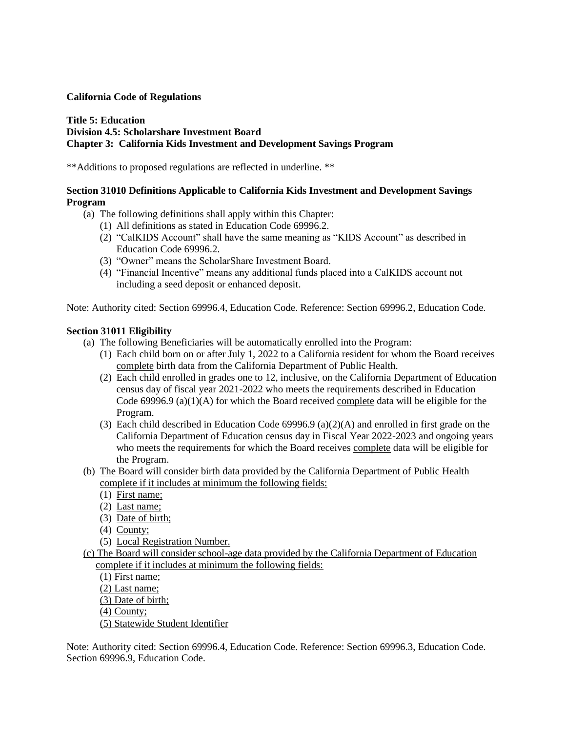## **California Code of Regulations**

### **Title 5: Education Division 4.5: Scholarshare Investment Board Chapter 3: California Kids Investment and Development Savings Program**

\*\*Additions to proposed regulations are reflected in underline. \*\*

## **Section 31010 Definitions Applicable to California Kids Investment and Development Savings Program**

- (a) The following definitions shall apply within this Chapter:
	- (1) All definitions as stated in Education Code 69996.2.
	- (2) "CalKIDS Account" shall have the same meaning as "KIDS Account" as described in Education Code 69996.2.
	- (3) "Owner" means the ScholarShare Investment Board.
	- (4) "Financial Incentive" means any additional funds placed into a CalKIDS account not including a seed deposit or enhanced deposit.

Note: Authority cited: Section 69996.4, Education Code. Reference: Section 69996.2, Education Code.

## **Section 31011 Eligibility**

- (a) The following Beneficiaries will be automatically enrolled into the Program:
	- (1) Each child born on or after July 1, 2022 to a California resident for whom the Board receives complete birth data from the California Department of Public Health.
	- (2) Each child enrolled in grades one to 12, inclusive, on the California Department of Education census day of fiscal year 2021-2022 who meets the requirements described in Education Code 69996.9 (a)(1)(A) for which the Board received complete data will be eligible for the Program.
	- (3) Each child described in Education Code 69996.9 (a)(2)(A) and enrolled in first grade on the California Department of Education census day in Fiscal Year 2022-2023 and ongoing years who meets the requirements for which the Board receives complete data will be eligible for the Program.
- (b) The Board will consider birth data provided by the California Department of Public Health complete if it includes at minimum the following fields:
	- (1) First name;
	- (2) Last name;
	- (3) Date of birth;
	- (4) County;
	- (5) Local Registration Number.
- (c) The Board will consider school-age data provided by the California Department of Education complete if it includes at minimum the following fields:

(1) First name;

(2) Last name;

(3) Date of birth;

(4) County;

(5) Statewide Student Identifier

Note: Authority cited: Section 69996.4, Education Code. Reference: Section 69996.3, Education Code. Section 69996.9, Education Code.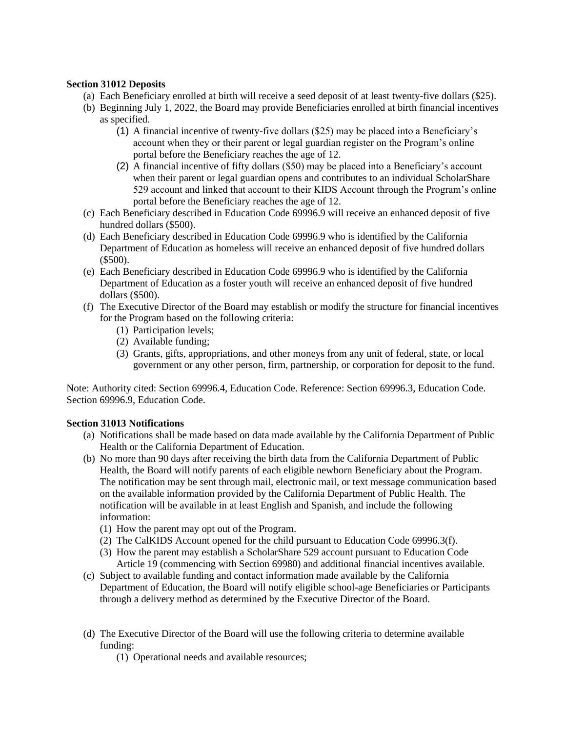## **Section 31012 Deposits**

- (a) Each Beneficiary enrolled at birth will receive a seed deposit of at least twenty-five dollars (\$25).
- (b) Beginning July 1, 2022, the Board may provide Beneficiaries enrolled at birth financial incentives as specified.
	- (1) A financial incentive of twenty-five dollars (\$25) may be placed into a Beneficiary's account when they or their parent or legal guardian register on the Program's online portal before the Beneficiary reaches the age of 12.
	- (2) A financial incentive of fifty dollars (\$50) may be placed into a Beneficiary's account when their parent or legal guardian opens and contributes to an individual ScholarShare 529 account and linked that account to their KIDS Account through the Program's online portal before the Beneficiary reaches the age of 12.
- (c) Each Beneficiary described in Education Code 69996.9 will receive an enhanced deposit of five hundred dollars (\$500).
- (d) Each Beneficiary described in Education Code 69996.9 who is identified by the California Department of Education as homeless will receive an enhanced deposit of five hundred dollars (\$500).
- (e) Each Beneficiary described in Education Code 69996.9 who is identified by the California Department of Education as a foster youth will receive an enhanced deposit of five hundred dollars (\$500).
- (f) The Executive Director of the Board may establish or modify the structure for financial incentives for the Program based on the following criteria:
	- (1) Participation levels;
	- (2) Available funding;
	- (3) Grants, gifts, appropriations, and other moneys from any unit of federal, state, or local government or any other person, firm, partnership, or corporation for deposit to the fund.

Note: Authority cited: Section 69996.4, Education Code. Reference: Section 69996.3, Education Code. Section 69996.9, Education Code.

## **Section 31013 Notifications**

- (a) Notifications shall be made based on data made available by the California Department of Public Health or the California Department of Education.
- (b) No more than 90 days after receiving the birth data from the California Department of Public Health, the Board will notify parents of each eligible newborn Beneficiary about the Program. The notification may be sent through mail, electronic mail, or text message communication based on the available information provided by the California Department of Public Health. The notification will be available in at least English and Spanish, and include the following information:
	- (1) How the parent may opt out of the Program.
	- (2) The CalKIDS Account opened for the child pursuant to Education Code 69996.3(f).
	- (3) How the parent may establish a ScholarShare 529 account pursuant to Education Code Article 19 (commencing with Section 69980) and additional financial incentives available.
- (c) Subject to available funding and contact information made available by the California Department of Education, the Board will notify eligible school-age Beneficiaries or Participants through a delivery method as determined by the Executive Director of the Board.
- (d) The Executive Director of the Board will use the following criteria to determine available funding:
	- (1) Operational needs and available resources;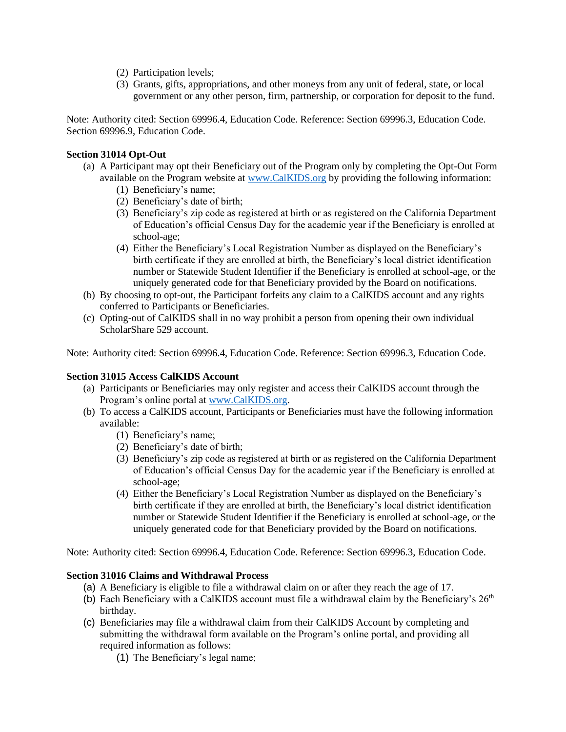- (2) Participation levels;
- (3) Grants, gifts, appropriations, and other moneys from any unit of federal, state, or local government or any other person, firm, partnership, or corporation for deposit to the fund.

Note: Authority cited: Section 69996.4, Education Code. Reference: Section 69996.3, Education Code. Section 69996.9, Education Code.

### **Section 31014 Opt-Out**

- (a) A Participant may opt their Beneficiary out of the Program only by completing the Opt-Out Form available on the Program website at [www.CalKIDS.org](http://www.calkids.org/) by providing the following information:
	- (1) Beneficiary's name;
	- (2) Beneficiary's date of birth;
	- (3) Beneficiary's zip code as registered at birth or as registered on the California Department of Education's official Census Day for the academic year if the Beneficiary is enrolled at school-age;
	- (4) Either the Beneficiary's Local Registration Number as displayed on the Beneficiary's birth certificate if they are enrolled at birth, the Beneficiary's local district identification number or Statewide Student Identifier if the Beneficiary is enrolled at school-age, or the uniquely generated code for that Beneficiary provided by the Board on notifications.
- (b) By choosing to opt-out, the Participant forfeits any claim to a CalKIDS account and any rights conferred to Participants or Beneficiaries.
- (c) Opting-out of CalKIDS shall in no way prohibit a person from opening their own individual ScholarShare 529 account.

Note: Authority cited: Section 69996.4, Education Code. Reference: Section 69996.3, Education Code.

#### **Section 31015 Access CalKIDS Account**

- (a) Participants or Beneficiaries may only register and access their CalKIDS account through the Program's online portal at [www.CalKIDS.org.](http://www.calkids.org/)
- (b) To access a CalKIDS account, Participants or Beneficiaries must have the following information available:
	- (1) Beneficiary's name;
	- (2) Beneficiary's date of birth;
	- (3) Beneficiary's zip code as registered at birth or as registered on the California Department of Education's official Census Day for the academic year if the Beneficiary is enrolled at school-age;
	- (4) Either the Beneficiary's Local Registration Number as displayed on the Beneficiary's birth certificate if they are enrolled at birth, the Beneficiary's local district identification number or Statewide Student Identifier if the Beneficiary is enrolled at school-age, or the uniquely generated code for that Beneficiary provided by the Board on notifications.

Note: Authority cited: Section 69996.4, Education Code. Reference: Section 69996.3, Education Code.

### **Section 31016 Claims and Withdrawal Process**

- (a) A Beneficiary is eligible to file a withdrawal claim on or after they reach the age of 17.
- (b) Each Beneficiary with a CalKIDS account must file a withdrawal claim by the Beneficiary's  $26<sup>th</sup>$ birthday.
- (c) Beneficiaries may file a withdrawal claim from their CalKIDS Account by completing and submitting the withdrawal form available on the Program's online portal, and providing all required information as follows:
	- (1) The Beneficiary's legal name;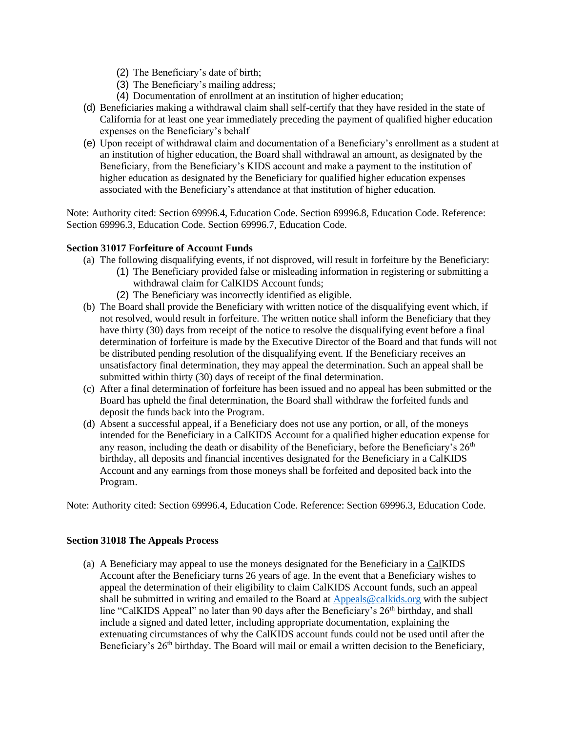- (2) The Beneficiary's date of birth;
- (3) The Beneficiary's mailing address;
- (4) Documentation of enrollment at an institution of higher education;
- (d) Beneficiaries making a withdrawal claim shall self-certify that they have resided in the state of California for at least one year immediately preceding the payment of qualified higher education expenses on the Beneficiary's behalf
- (e) Upon receipt of withdrawal claim and documentation of a Beneficiary's enrollment as a student at an institution of higher education, the Board shall withdrawal an amount, as designated by the Beneficiary, from the Beneficiary's KIDS account and make a payment to the institution of higher education as designated by the Beneficiary for qualified higher education expenses associated with the Beneficiary's attendance at that institution of higher education.

Note: Authority cited: Section 69996.4, Education Code. Section 69996.8, Education Code. Reference: Section 69996.3, Education Code. Section 69996.7, Education Code.

## **Section 31017 Forfeiture of Account Funds**

- (a) The following disqualifying events, if not disproved, will result in forfeiture by the Beneficiary:
	- (1) The Beneficiary provided false or misleading information in registering or submitting a withdrawal claim for CalKIDS Account funds;
	- (2) The Beneficiary was incorrectly identified as eligible.
- (b) The Board shall provide the Beneficiary with written notice of the disqualifying event which, if not resolved, would result in forfeiture. The written notice shall inform the Beneficiary that they have thirty (30) days from receipt of the notice to resolve the disqualifying event before a final determination of forfeiture is made by the Executive Director of the Board and that funds will not be distributed pending resolution of the disqualifying event. If the Beneficiary receives an unsatisfactory final determination, they may appeal the determination. Such an appeal shall be submitted within thirty (30) days of receipt of the final determination.
- (c) After a final determination of forfeiture has been issued and no appeal has been submitted or the Board has upheld the final determination, the Board shall withdraw the forfeited funds and deposit the funds back into the Program.
- (d) Absent a successful appeal, if a Beneficiary does not use any portion, or all, of the moneys intended for the Beneficiary in a CalKIDS Account for a qualified higher education expense for any reason, including the death or disability of the Beneficiary, before the Beneficiary's  $26<sup>th</sup>$ birthday, all deposits and financial incentives designated for the Beneficiary in a CalKIDS Account and any earnings from those moneys shall be forfeited and deposited back into the Program.

Note: Authority cited: Section 69996.4, Education Code. Reference: Section 69996.3, Education Code.

### **Section 31018 The Appeals Process**

(a) A Beneficiary may appeal to use the moneys designated for the Beneficiary in a CalKIDS Account after the Beneficiary turns 26 years of age. In the event that a Beneficiary wishes to appeal the determination of their eligibility to claim CalKIDS Account funds, such an appeal shall be submitted in writing and emailed to the Board at [Appeals@calkids.org](mailto:Appeals@calkids.org) with the subject line "CalKIDS Appeal" no later than 90 days after the Beneficiary's 26<sup>th</sup> birthday, and shall include a signed and dated letter, including appropriate documentation, explaining the extenuating circumstances of why the CalKIDS account funds could not be used until after the Beneficiary's 26<sup>th</sup> birthday. The Board will mail or email a written decision to the Beneficiary,